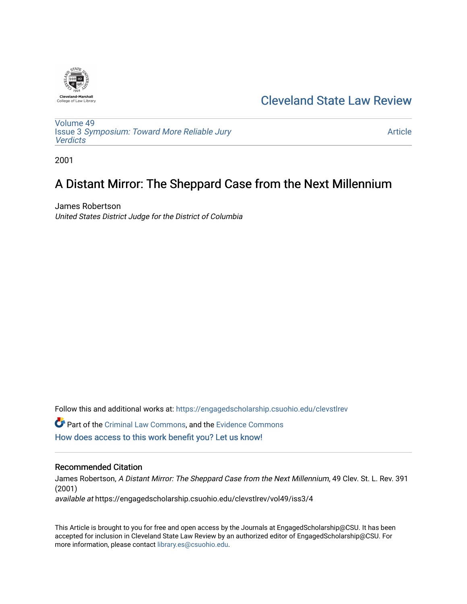

## [Cleveland State Law Review](https://engagedscholarship.csuohio.edu/clevstlrev)

[Volume 49](https://engagedscholarship.csuohio.edu/clevstlrev/vol49) Issue 3 [Symposium: Toward More Reliable Jury](https://engagedscholarship.csuohio.edu/clevstlrev/vol49/iss3)  **[Verdicts](https://engagedscholarship.csuohio.edu/clevstlrev/vol49/iss3)** 

[Article](https://engagedscholarship.csuohio.edu/clevstlrev/vol49/iss3/4) 

2001

# A Distant Mirror: The Sheppard Case from the Next Millennium

James Robertson United States District Judge for the District of Columbia

Follow this and additional works at: [https://engagedscholarship.csuohio.edu/clevstlrev](https://engagedscholarship.csuohio.edu/clevstlrev?utm_source=engagedscholarship.csuohio.edu%2Fclevstlrev%2Fvol49%2Fiss3%2F4&utm_medium=PDF&utm_campaign=PDFCoverPages)

Part of the [Criminal Law Commons,](http://network.bepress.com/hgg/discipline/912?utm_source=engagedscholarship.csuohio.edu%2Fclevstlrev%2Fvol49%2Fiss3%2F4&utm_medium=PDF&utm_campaign=PDFCoverPages) and the [Evidence Commons](http://network.bepress.com/hgg/discipline/601?utm_source=engagedscholarship.csuohio.edu%2Fclevstlrev%2Fvol49%2Fiss3%2F4&utm_medium=PDF&utm_campaign=PDFCoverPages)  [How does access to this work benefit you? Let us know!](http://library.csuohio.edu/engaged/)

### Recommended Citation

James Robertson, A Distant Mirror: The Sheppard Case from the Next Millennium, 49 Clev. St. L. Rev. 391 (2001) available at https://engagedscholarship.csuohio.edu/clevstlrev/vol49/iss3/4

This Article is brought to you for free and open access by the Journals at EngagedScholarship@CSU. It has been accepted for inclusion in Cleveland State Law Review by an authorized editor of EngagedScholarship@CSU. For more information, please contact [library.es@csuohio.edu](mailto:library.es@csuohio.edu).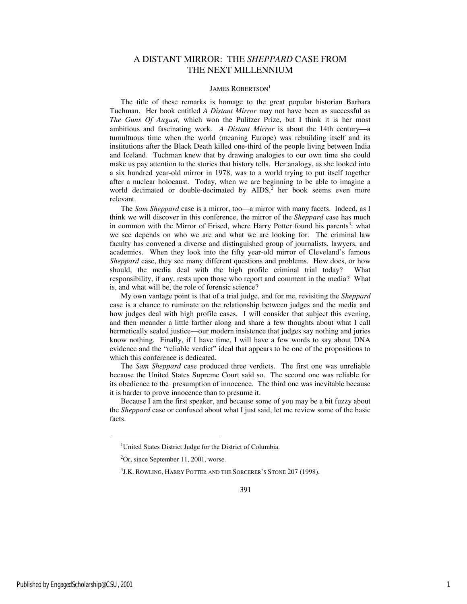## A DISTANT MIRROR: THE *SHEPPARD* CASE FROM THE NEXT MILLENNIUM

#### JAMES ROBERTSON<sup>1</sup>

The title of these remarks is homage to the great popular historian Barbara Tuchman. Her book entitled *A Distant Mirror* may not have been as successful as *The Guns Of August*, which won the Pulitzer Prize, but I think it is her most ambitious and fascinating work. A Distant Mirror is about the 14th century-a tumultuous time when the world (meaning Europe) was rebuilding itself and its institutions after the Black Death killed one-third of the people living between India and Iceland. Tuchman knew that by drawing analogies to our own time she could make us pay attention to the stories that history tells. Her analogy, as she looked into a six hundred year-old mirror in 1978, was to a world trying to put itself together after a nuclear holocaust. Today, when we are beginning to be able to imagine a world decimated or double-decimated by AIDS,<sup>2</sup> her book seems even more relevant.

The *Sam Sheppard* case is a mirror, too—a mirror with many facets. Indeed, as I think we will discover in this conference, the mirror of the *Sheppard* case has much in common with the Mirror of Erised, where Harry Potter found his parents<sup>3</sup>: what we see depends on who we are and what we are looking for. The criminal law faculty has convened a diverse and distinguished group of journalists, lawyers, and academics. When they look into the fifty year-old mirror of Cleveland's famous *Sheppard* case, they see many different questions and problems. How does, or how should, the media deal with the high profile criminal trial today? What responsibility, if any, rests upon those who report and comment in the media? What is, and what will be, the role of forensic science?

My own vantage point is that of a trial judge, and for me, revisiting the *Sheppard* case is a chance to ruminate on the relationship between judges and the media and how judges deal with high profile cases. I will consider that subject this evening, and then meander a little farther along and share a few thoughts about what I call hermetically sealed justice—our modern insistence that judges say nothing and juries know nothing. Finally, if I have time, I will have a few words to say about DNA evidence and the "reliable verdict" ideal that appears to be one of the propositions to which this conference is dedicated.

The *Sam Sheppard* case produced three verdicts. The first one was unreliable because the United States Supreme Court said so. The second one was reliable for its obedience to the presumption of innocence. The third one was inevitable because it is harder to prove innocence than to presume it.

Because I am the first speaker, and because some of you may be a bit fuzzy about the *Sheppard* case or confused about what I just said, let me review some of the basic facts.

j

<sup>&</sup>lt;sup>1</sup>United States District Judge for the District of Columbia.

 ${}^{2}$ Or, since September 11, 2001, worse.

<sup>3</sup> J.K. ROWLING, HARRY POTTER AND THE SORCERER'S STONE 207 (1998).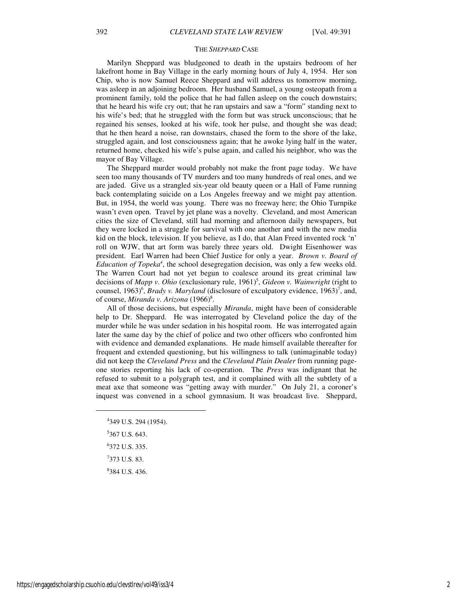#### THE *SHEPPARD* CASE

Marilyn Sheppard was bludgeoned to death in the upstairs bedroom of her lakefront home in Bay Village in the early morning hours of July 4, 1954. Her son Chip, who is now Samuel Reece Sheppard and will address us tomorrow morning, was asleep in an adjoining bedroom. Her husband Samuel, a young osteopath from a prominent family, told the police that he had fallen asleep on the couch downstairs; that he heard his wife cry out; that he ran upstairs and saw a "form" standing next to his wife's bed; that he struggled with the form but was struck unconscious; that he regained his senses, looked at his wife, took her pulse, and thought she was dead; that he then heard a noise, ran downstairs, chased the form to the shore of the lake, struggled again, and lost consciousness again; that he awoke lying half in the water, returned home, checked his wife's pulse again, and called his neighbor, who was the mayor of Bay Village.

The Sheppard murder would probably not make the front page today. We have seen too many thousands of TV murders and too many hundreds of real ones, and we are jaded. Give us a strangled six-year old beauty queen or a Hall of Fame running back contemplating suicide on a Los Angeles freeway and we might pay attention. But, in 1954, the world was young. There was no freeway here; the Ohio Turnpike wasn't even open. Travel by jet plane was a novelty. Cleveland, and most American cities the size of Cleveland, still had morning and afternoon daily newspapers, but they were locked in a struggle for survival with one another and with the new media kid on the block, television. If you believe, as I do, that Alan Freed invented rock 'n' roll on WJW, that art form was barely three years old. Dwight Eisenhower was president. Earl Warren had been Chief Justice for only a year. *Brown v. Board of*  Education of Topeka<sup>4</sup>, the school desegregation decision, was only a few weeks old. The Warren Court had not yet begun to coalesce around its great criminal law decisions of *Mapp v. Ohio* (exclusionary rule, 1961)<sup>5</sup>, *Gideon v. Wainwright* (right to counsel, 1963)<sup>6</sup>, *Brady v. Maryland* (disclosure of exculpatory evidence, 1963)<sup>7</sup>, and, of course, *Miranda v. Arizona* (1966)<sup>8</sup>.

All of those decisions, but especially *Miranda*, might have been of considerable help to Dr. Sheppard. He was interrogated by Cleveland police the day of the murder while he was under sedation in his hospital room. He was interrogated again later the same day by the chief of police and two other officers who confronted him with evidence and demanded explanations. He made himself available thereafter for frequent and extended questioning, but his willingness to talk (unimaginable today) did not keep the *Cleveland Press* and the *Cleveland Plain Dealer* from running pageone stories reporting his lack of co-operation. The *Press* was indignant that he refused to submit to a polygraph test, and it complained with all the subtlety of a meat axe that someone was "getting away with murder." On July 21, a coroner's inquest was convened in a school gymnasium. It was broadcast live. Sheppard,

8 384 U.S. 436.

j

<sup>4</sup> 349 U.S. 294 (1954). 5 367 U.S. 643. 6 372 U.S. 335.

 $7373$  U.S. 83.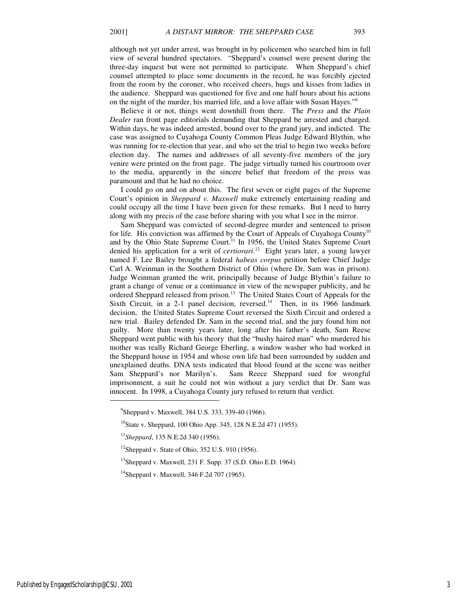although not yet under arrest, was brought in by policemen who searched him in full view of several hundred spectators. "Sheppard's counsel were present during the three-day inquest but were not permitted to participate. When Sheppard's chief counsel attempted to place some documents in the record, he was forcibly ejected from the room by the coroner, who received cheers, hugs and kisses from ladies in the audience. Sheppard was questioned for five and one half hours about his actions on the night of the murder, his married life, and a love affair with Susan Hayes."<sup>9</sup>

Believe it or not, things went downhill from there. The *Press* and the *Plain Dealer* ran front page editorials demanding that Sheppard be arrested and charged. Within days, he was indeed arrested, bound over to the grand jury, and indicted. The case was assigned to Cuyahoga County Common Pleas Judge Edward Blythin, who was running for re-election that year, and who set the trial to begin two weeks before election day. The names and addresses of all seventy-five members of the jury venire were printed on the front page. The judge virtually turned his courtroom over to the media, apparently in the sincere belief that freedom of the press was paramount and that he had no choice.

I could go on and on about this. The first seven or eight pages of the Supreme Court's opinion in *Sheppard v. Maxwell* make extremely entertaining reading and could occupy all the time I have been given for these remarks. But I need to hurry along with my precis of the case before sharing with you what I see in the mirror.

Sam Sheppard was convicted of second-degree murder and sentenced to prison for life. His conviction was affirmed by the Court of Appeals of Cuyahoga County<sup>10</sup> and by the Ohio State Supreme Court.<sup>11</sup> In 1956, the United States Supreme Court denied his application for a writ of *certiorari*. <sup>12</sup> Eight years later, a young lawyer named F. Lee Bailey brought a federal *habeas corpus* petition before Chief Judge Carl A. Weinman in the Southern District of Ohio (where Dr. Sam was in prison). Judge Weinman granted the writ, principally because of Judge Blythin's failure to grant a change of venue or a continuance in view of the newspaper publicity, and he ordered Sheppard released from prison.<sup>13</sup> The United States Court of Appeals for the Sixth Circuit, in a 2-1 panel decision, reversed.<sup>14</sup> Then, in its 1966 landmark decision, the United States Supreme Court reversed the Sixth Circuit and ordered a new trial. Bailey defended Dr. Sam in the second trial, and the jury found him not guilty. More than twenty years later, long after his father's death, Sam Reese Sheppard went public with his theory that the "bushy haired man" who murdered his mother was really Richard George Eberling, a window washer who had worked in the Sheppard house in 1954 and whose own life had been surrounded by sudden and unexplained deaths. DNA tests indicated that blood found at the scene was neither Sam Sheppard's nor Marilyn's. Sam Reece Sheppard sued for wrongful imprisonment, a suit he could not win without a jury verdict that Dr. Sam was innocent. In 1998, a Cuyahoga County jury refused to return that verdict.

1

<sup>&</sup>lt;sup>9</sup>Sheppard v. Maxwell, 384 U.S. 333, 339-40 (1966).

<sup>&</sup>lt;sup>10</sup>State v. Sheppard, 100 Ohio App. 345, 128 N.E.2d 471 (1955).

<sup>11</sup>*Sheppard*, 135 N.E.2d 340 (1956).

 $12$ Sheppard v. State of Ohio, 352 U.S. 910 (1956).

 $^{13}$ Sheppard v. Maxwell, 231 F. Supp. 37 (S.D. Ohio E.D. 1964).

<sup>&</sup>lt;sup>14</sup>Sheppard v. Maxwell, 346 F.2d 707 (1965).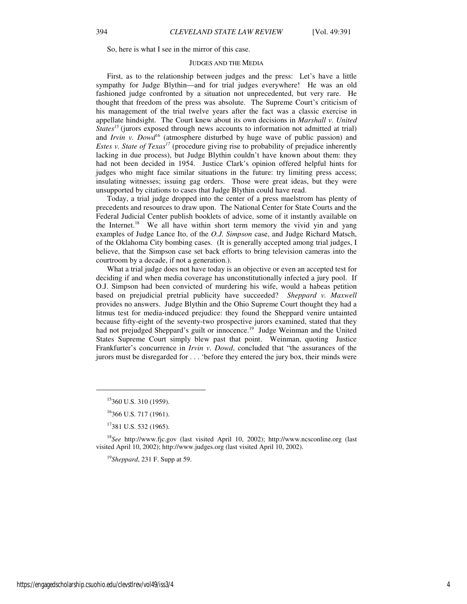So, here is what I see in the mirror of this case.

#### JUDGES AND THE MEDIA

First, as to the relationship between judges and the press: Let's have a little sympathy for Judge Blythin—and for trial judges everywhere! He was an old fashioned judge confronted by a situation not unprecedented, but very rare. He thought that freedom of the press was absolute. The Supreme Court's criticism of his management of the trial twelve years after the fact was a classic exercise in appellate hindsight. The Court knew about its own decisions in *Marshall v. United States<sup>* $15$ *</sup>* (jurors exposed through news accounts to information not admitted at trial) and *Irvin v. Dowd*<sup>16</sup> (atmosphere disturbed by huge wave of public passion) and *Estes v. State of Texas<sup>17</sup>* (procedure giving rise to probability of prejudice inherently lacking in due process), but Judge Blythin couldn't have known about them: they had not been decided in 1954. Justice Clark's opinion offered helpful hints for judges who might face similar situations in the future: try limiting press access; insulating witnesses; issuing gag orders. Those were great ideas, but they were unsupported by citations to cases that Judge Blythin could have read.

Today, a trial judge dropped into the center of a press maelstrom has plenty of precedents and resources to draw upon. The National Center for State Courts and the Federal Judicial Center publish booklets of advice, some of it instantly available on the Internet.<sup>18</sup> We all have within short term memory the vivid yin and yang examples of Judge Lance Ito, of the *O.J. Simpson* case, and Judge Richard Matsch, of the Oklahoma City bombing cases. (It is generally accepted among trial judges, I believe, that the Simpson case set back efforts to bring television cameras into the courtroom by a decade, if not a generation.).

What a trial judge does not have today is an objective or even an accepted test for deciding if and when media coverage has unconstitutionally infected a jury pool. If O.J. Simpson had been convicted of murdering his wife, would a habeas petition based on prejudicial pretrial publicity have succeeded? *Sheppard v. Maxwell* provides no answers. Judge Blythin and the Ohio Supreme Court thought they had a litmus test for media-induced prejudice: they found the Sheppard venire untainted because fifty-eight of the seventy-two prospective jurors examined, stated that they had not prejudged Sheppard's guilt or innocence.<sup>19</sup> Judge Weinman and the United States Supreme Court simply blew past that point. Weinman, quoting Justice Frankfurter's concurrence in *Irvin v. Dowd*, concluded that "the assurances of the jurors must be disregarded for . . . 'before they entered the jury box, their minds were

<sup>19</sup>*Sheppard*, 231 F. Supp at 59.

 $\overline{a}$ 

<sup>&</sup>lt;sup>15</sup>360 U.S. 310 (1959).

<sup>16</sup>366 U.S. 717 (1961).

<sup>17</sup>381 U.S. 532 (1965).

<sup>18</sup>*See* http://www.fjc.gov (last visited April 10, 2002); http://www.ncsconline.org (last visited April 10, 2002); http://www.judges.org (last visited April 10, 2002).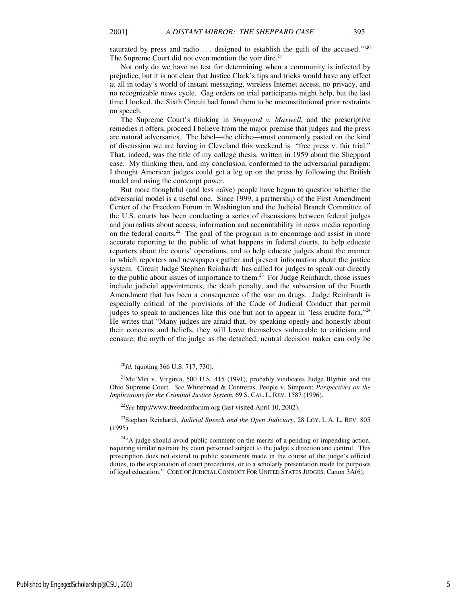Not only do we have no test for determining when a community is infected by prejudice, but it is not clear that Justice Clark's tips and tricks would have any effect at all in today's world of instant messaging, wireless Internet access, no privacy, and no recognizable news cycle. Gag orders on trial participants might help, but the last time I looked, the Sixth Circuit had found them to be unconstitutional prior restraints on speech.

The Supreme Court's thinking in *Sheppard v. Maxwell*, and the prescriptive remedies it offers, proceed I believe from the major premise that judges and the press are natural adversaries. The label—the cliche—most commonly pasted on the kind of discussion we are having in Cleveland this weekend is "free press v. fair trial." That, indeed, was the title of my college thesis, written in 1959 about the Sheppard case. My thinking then, and my conclusion, conformed to the adversarial paradigm: I thought American judges could get a leg up on the press by following the British model and using the contempt power.

But more thoughtful (and less naïve) people have begun to question whether the adversarial model is a useful one. Since 1999, a partnership of the First Amendment Center of the Freedom Forum in Washington and the Judicial Branch Committee of the U.S. courts has been conducting a series of discussions between federal judges and journalists about access, information and accountability in news media reporting on the federal courts.<sup>22</sup> The goal of the program is to encourage and assist in more accurate reporting to the public of what happens in federal courts, to help educate reporters about the courts' operations, and to help educate judges about the manner in which reporters and newspapers gather and present information about the justice system. Circuit Judge Stephen Reinhardt has called for judges to speak out directly to the public about issues of importance to them.<sup>23</sup> For Judge Reinhardt, those issues include judicial appointments, the death penalty, and the subversion of the Fourth Amendment that has been a consequence of the war on drugs. Judge Reinhardt is especially critical of the provisions of the Code of Judicial Conduct that permit judges to speak to audiences like this one but not to appear in "less erudite fora."<sup>24</sup> He writes that "Many judges are afraid that, by speaking openly and honestly about their concerns and beliefs, they will leave themselves vulnerable to criticism and censure; the myth of the judge as the detached, neutral decision maker can only be

 $\overline{a}$ 

Published by EngagedScholarship@CSU, 2001 5

<sup>20</sup>*Id.* (quoting 366 U.S. 717, 730).

 $21$ Mu'Min v. Virginia, 500 U.S. 415 (1991), probably vindicates Judge Blythin and the Ohio Supreme Court. *See* Whitebread & Contreras, People v. Simpson: *Perspectives on the Implications for the Criminal Justice System*, 69 S. CAL. L. REV. 1587 (1996).

<sup>22</sup>*See* http://www.freedomforum.org (last visited April 10, 2002).

<sup>23</sup>Stephen Reinhardt, *Judicial Speech and the Open Judiciary*, 28 LOY. L.A. L. REV. 805 (1995).

<sup>&</sup>lt;sup>24</sup>"A judge should avoid public comment on the merits of a pending or impending action, requiring similar restraint by court personnel subject to the judge's direction and control. This proscription does not extend to public statements made in the course of the judge's official duties, to the explanation of court procedures, or to a scholarly presentation made for purposes of legal education." CODE OF JUDICIAL CONDUCT FOR UNITED STATES JUDGES, Canon 3A(6).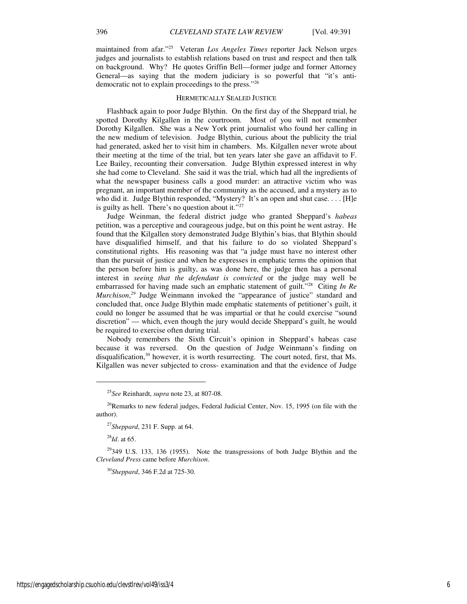maintained from afar."<sup>25</sup> Veteran *Los Angeles Times* reporter Jack Nelson urges judges and journalists to establish relations based on trust and respect and then talk on background. Why? He quotes Griffin Bell—former judge and former Attorney General—as saying that the modern judiciary is so powerful that "it's antidemocratic not to explain proceedings to the press."<sup>26</sup>

#### HERMETICALLY SEALED JUSTICE

Flashback again to poor Judge Blythin. On the first day of the Sheppard trial, he spotted Dorothy Kilgallen in the courtroom. Most of you will not remember Dorothy Kilgallen. She was a New York print journalist who found her calling in the new medium of television. Judge Blythin, curious about the publicity the trial had generated, asked her to visit him in chambers. Ms. Kilgallen never wrote about their meeting at the time of the trial, but ten years later she gave an affidavit to F. Lee Bailey, recounting their conversation. Judge Blythin expressed interest in why she had come to Cleveland. She said it was the trial, which had all the ingredients of what the newspaper business calls a good murder: an attractive victim who was pregnant, an important member of the community as the accused, and a mystery as to who did it. Judge Blythin responded, "Mystery? It's an open and shut case. . . . [H]e is guilty as hell. There's no question about it."<sup>27</sup>

Judge Weinman, the federal district judge who granted Sheppard's *habeas* petition, was a perceptive and courageous judge, but on this point he went astray. He found that the Kilgallen story demonstrated Judge Blythin's bias, that Blythin should have disqualified himself, and that his failure to do so violated Sheppard's constitutional rights. His reasoning was that "a judge must have no interest other than the pursuit of justice and when he expresses in emphatic terms the opinion that the person before him is guilty, as was done here, the judge then has a personal interest in *seeing that the defendant is convicted* or the judge may well be embarrassed for having made such an emphatic statement of guilt."<sup>28</sup> Citing *In Re Murchison*, *<sup>29</sup>* Judge Weinmann invoked the "appearance of justice" standard and concluded that, once Judge Blythin made emphatic statements of petitioner's guilt, it could no longer be assumed that he was impartial or that he could exercise "sound discretion" — which, even though the jury would decide Sheppard's guilt, he would be required to exercise often during trial.

Nobody remembers the Sixth Circuit's opinion in Sheppard's habeas case because it was reversed. On the question of Judge Weinmann's finding on disqualification, $30$  however, it is worth resurrecting. The court noted, first, that Ms. Kilgallen was never subjected to cross- examination and that the evidence of Judge

<sup>28</sup>*Id*. at 65.

j

<sup>30</sup>*Sheppard*, 346 F.2d at 725-30.

<sup>25</sup>*See* Reinhardt, *supra* note 23, at 807-08.

<sup>&</sup>lt;sup>26</sup>Remarks to new federal judges, Federal Judicial Center, Nov. 15, 1995 (on file with the author).

<sup>27</sup>*Sheppard*, 231 F. Supp. at 64.

 $29349$  U.S. 133, 136 (1955). Note the transgressions of both Judge Blythin and the *Cleveland Press* came before *Murchison*.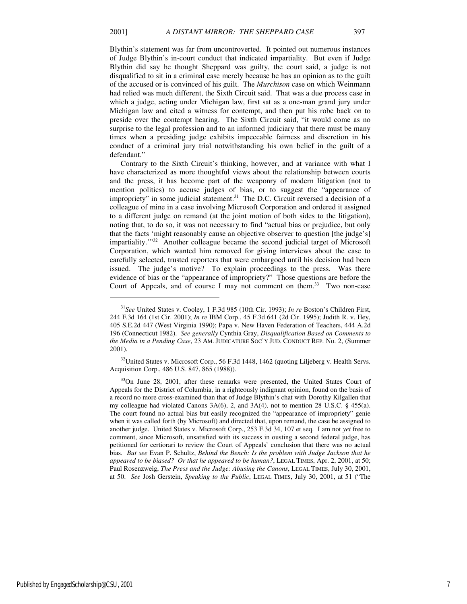j

Blythin's statement was far from uncontroverted. It pointed out numerous instances of Judge Blythin's in-court conduct that indicated impartiality. But even if Judge Blythin did say he thought Sheppard was guilty, the court said, a judge is not disqualified to sit in a criminal case merely because he has an opinion as to the guilt of the accused or is convinced of his guilt. The *Murchison* case on which Weinmann had relied was much different, the Sixth Circuit said. That was a due process case in which a judge, acting under Michigan law, first sat as a one-man grand jury under Michigan law and cited a witness for contempt, and then put his robe back on to preside over the contempt hearing. The Sixth Circuit said, "it would come as no surprise to the legal profession and to an informed judiciary that there must be many times when a presiding judge exhibits impeccable fairness and discretion in his conduct of a criminal jury trial notwithstanding his own belief in the guilt of a defendant."

Contrary to the Sixth Circuit's thinking, however, and at variance with what I have characterized as more thoughtful views about the relationship between courts and the press, it has become part of the weaponry of modern litigation (not to mention politics) to accuse judges of bias, or to suggest the "appearance of impropriety" in some judicial statement. $31$  The D.C. Circuit reversed a decision of a colleague of mine in a case involving Microsoft Corporation and ordered it assigned to a different judge on remand (at the joint motion of both sides to the litigation), noting that, to do so, it was not necessary to find "actual bias or prejudice, but only that the facts 'might reasonably cause an objective observer to question [the judge's] impartiality.'"<sup>32</sup> Another colleague became the second judicial target of Microsoft Corporation, which wanted him removed for giving interviews about the case to carefully selected, trusted reporters that were embargoed until his decision had been issued. The judge's motive? To explain proceedings to the press. Was there evidence of bias or the "appearance of impropriety?" Those questions are before the Court of Appeals, and of course I may not comment on them.<sup>33</sup> Two non-case

<sup>31</sup>*See* United States v. Cooley, 1 F.3d 985 (10th Cir. 1993); *In re* Boston's Children First, 244 F.3d 164 (1st Cir. 2001); *In re* IBM Corp., 45 F.3d 641 (2d Cir. 1995); Judith R. v. Hey, 405 S.E.2d 447 (West Virginia 1990); Papa v. New Haven Federation of Teachers, 444 A.2d 196 (Connecticut 1982). *See generally* Cynthia Gray, *Disqualification Based on Comments to the Media in a Pending Case*, 23 AM. JUDICATURE SOC'Y JUD. CONDUCT REP. No. 2, (Summer 2001).

 $32$ United States v. Microsoft Corp., 56 F.3d 1448, 1462 (quoting Liljeberg v. Health Servs. Acquisition Corp., 486 U.S. 847, 865 (1988)).

<sup>&</sup>lt;sup>33</sup>On June 28, 2001, after these remarks were presented, the United States Court of Appeals for the District of Columbia, in a righteously indignant opinion, found on the basis of a record no more cross-examined than that of Judge Blythin's chat with Dorothy Kilgallen that my colleague had violated Canons 3A(6), 2, and 3A(4), not to mention 28 U.S.C. § 455(a). The court found no actual bias but easily recognized the "appearance of impropriety" genie when it was called forth (by Microsoft) and directed that, upon remand, the case be assigned to another judge. United States v. Microsoft Corp., 253 F.3d 34, 107 et seq. I am not *yet* free to comment, since Microsoft, unsatisfied with its success in ousting a second federal judge, has petitioned for certiorari to review the Court of Appeals' conclusion that there was no actual bias. *But see* Evan P. Schultz, *Behind the Bench: Is the problem with Judge Jackson that he appeared to be biased? Or that he appeared to be human?*, LEGAL TIMES, Apr. 2, 2001, at 50; Paul Rosenzweig, *The Press and the Judge: Abusing the Canons*, LEGAL TIMES, July 30, 2001, at 50. *See* Josh Gerstein, *Speaking to the Public*, LEGAL TIMES, July 30, 2001, at 51 ("The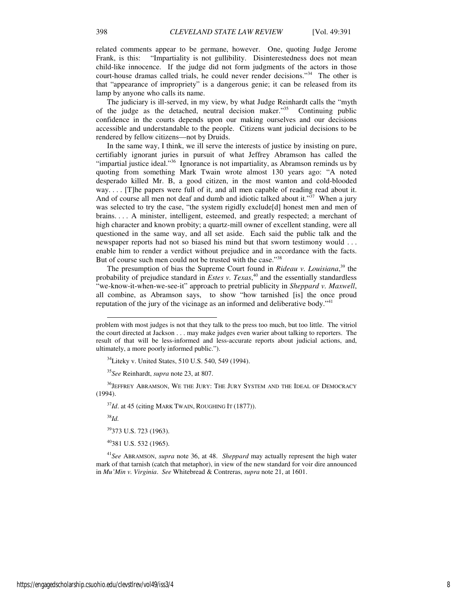related comments appear to be germane, however. One, quoting Judge Jerome Frank, is this: "Impartiality is not gullibility. Disinterestedness does not mean child-like innocence. If the judge did not form judgments of the actors in those court-house dramas called trials, he could never render decisions."<sup>34</sup> The other is that "appearance of impropriety" is a dangerous genie; it can be released from its lamp by anyone who calls its name.

The judiciary is ill-served, in my view, by what Judge Reinhardt calls the "myth of the judge as the detached, neutral decision maker."<sup>35</sup> Continuing public confidence in the courts depends upon our making ourselves and our decisions accessible and understandable to the people. Citizens want judicial decisions to be rendered by fellow citizens—not by Druids.

In the same way, I think, we ill serve the interests of justice by insisting on pure, certifiably ignorant juries in pursuit of what Jeffrey Abramson has called the "impartial justice ideal."<sup>36</sup> Ignorance is not impartiality, as Abramson reminds us by quoting from something Mark Twain wrote almost 130 years ago: "A noted desperado killed Mr. B, a good citizen, in the most wanton and cold-blooded way. . . . [T]he papers were full of it, and all men capable of reading read about it. And of course all men not deaf and dumb and idiotic talked about it."<sup>37</sup> When a jury was selected to try the case, "the system rigidly exclude[d] honest men and men of brains. . . . A minister, intelligent, esteemed, and greatly respected; a merchant of high character and known probity; a quartz-mill owner of excellent standing, were all questioned in the same way, and all set aside. Each said the public talk and the newspaper reports had not so biased his mind but that sworn testimony would . . . enable him to render a verdict without prejudice and in accordance with the facts. But of course such men could not be trusted with the case."<sup>38</sup>

The presumption of bias the Supreme Court found in *Rideau v. Louisiana*, <sup>39</sup> the probability of prejudice standard in *Estes v. Texas*, <sup>40</sup> and the essentially standardless "we-know-it-when-we-see-it" approach to pretrial publicity in *Sheppard v. Maxwell*, all combine, as Abramson says, to show "how tarnished [is] the once proud reputation of the jury of the vicinage as an informed and deliberative body."<sup>41</sup>

 $^{36}\!J\!E$  FFREY ABRAMSON, WE THE JURY: THE JURY SYSTEM AND THE IDEAL OF DEMOCRACY (1994).

<sup>37</sup>Id. at 45 (citing MARK TWAIN, ROUGHING IT (1877)).

<sup>38</sup>*Id.* 

j

<sup>39</sup>373 U.S. 723 (1963).

<sup>40</sup>381 U.S. 532 (1965).

<sup>41</sup>*See* ABRAMSON, *supra* note 36, at 48. *Sheppard* may actually represent the high water mark of that tarnish (catch that metaphor), in view of the new standard for voir dire announced in *Mu'Min v. Virginia*. *See* Whitebread & Contreras, *supra* note 21, at 1601.

problem with most judges is not that they talk to the press too much, but too little. The vitriol the court directed at Jackson . . . may make judges even warier about talking to reporters. The result of that will be less-informed and less-accurate reports about judicial actions, and, ultimately, a more poorly informed public.").

 $34$ Liteky v. United States, 510 U.S. 540, 549 (1994).

<sup>35</sup>*See* Reinhardt, *supra* note 23, at 807.